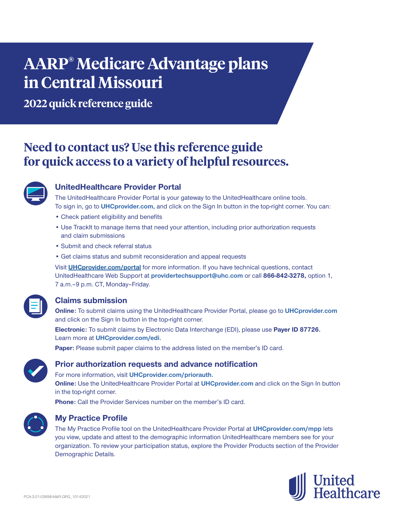# **AARP® Medicare Advantage plans in Central Missouri**

**2022 quick reference guide**

# **Need to contact us? Use this reference guide for quick access to a variety of helpful resources.**



# **UnitedHealthcare Provider Portal**

The UnitedHealthcare Provider Portal is your gateway to the UnitedHealthcare online tools. To sign in, go to **UHCprovider.com,** and click on the Sign In button in the top-right corner. You can:

- Check patient eligibility and benefits
- Use TrackIt to manage items that need your attention, including prior authorization requests and claim submissions
- Submit and check referral status
- Get claims status and submit reconsideration and appeal requests

Visit **UHCprovider.com/portal** for more information. If you have technical questions, contact UnitedHealthcare Web Support at **providertechsupport@uhc.com** or call **866-842-3278,** option 1, 7 a.m. - 9 p.m. CT, Monday - Friday.

# **Claims submission**

**Online:** To submit claims using the UnitedHealthcare Provider Portal, please go to **UHCprovider.com** and click on the Sign In button in the top-right corner.

**Electronic:** To submit claims by Electronic Data Interchange (EDI), please use **Payer ID 87726.** Learn more at **UHCprovider.com/edi.**

**Paper:** Please submit paper claims to the address listed on the member's ID card.



## **Prior authorization requests and advance notification**

For more information, visit **UHCprovider.com/priorauth. Online:** Use the UnitedHealthcare Provider Portal at **UHCprovider.com** and click on the Sign In button in the top-right corner.

**Phone:** Call the Provider Services number on the member's ID card.



# **My Practice Profile**

The My Practice Profile tool on the UnitedHealthcare Provider Portal at **UHCprovider.com/mpp** lets you view, update and attest to the demographic information UnitedHealthcare members see for your organization. To review your participation status, explore the Provider Products section of the Provider Demographic Details.

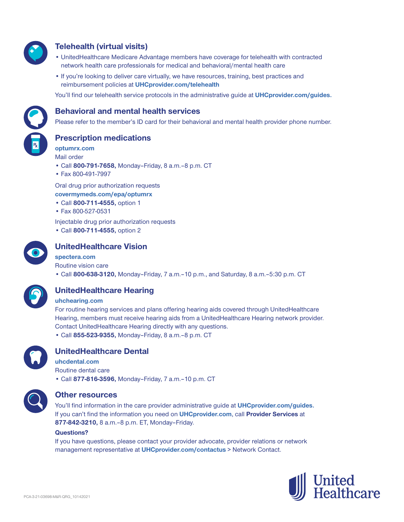

# **Telehealth (virtual visits)**

- UnitedHealthcare Medicare Advantage members have coverage for telehealth with contracted network health care professionals for medical and behavioral/mental health care
- If you're looking to deliver care virtually, we have resources, training, best practices and reimbursement policies at **UHCprovider.com/telehealth**

You'll find our telehealth service protocols in the administrative guide at **UHCprovider.com/guides.**



#### **Behavioral and mental health services**

Please refer to the member's ID card for their behavioral and mental health provider phone number.

**Prescription medications**

**optumrx.com** Mail order

- Call **800-791-7658,** Monday–Friday, 8 a.m.‒8 p.m. CT
- Fax 800-491-7997

Oral drug prior authorization requests **covermymeds.com/epa/optumrx**

- Call **800-711-4555,** option 1
- Fax 800-527-0531

Injectable drug prior authorization requests

• Call **800-711-4555,** option 2



# **UnitedHealthcare Vision**

#### **spectera.com**

Routine vision care

• Call **800-638-3120,** Monday–Friday, 7 a.m.–10 p.m., and Saturday, 8 a.m.–5:30 p.m. CT



# **UnitedHealthcare Hearing**

#### **uhchearing.com**

For routine hearing services and plans offering hearing aids covered through UnitedHealthcare Hearing, members must receive hearing aids from a UnitedHealthcare Hearing network provider. Contact UnitedHealthcare Hearing directly with any questions. • Call **855-523-9355,** Monday–Friday, 8 a.m.–8 p.m. CT



## **UnitedHealthcare Dental**

**uhcdental.com** Routine dental care • Call **877-816-3596,** Monday–Friday, 7 a.m.–10 p.m. CT



#### **Other resources**

You'll find information in the care provider administrative guide at **UHCprovider.com/guides.** If you can't find the information you need on **UHCprovider.com**, call **Provider Services** at **877-842-3210,** 8 a.m.–8 p.m. ET, Monday–Friday.

#### **Questions?**

If you have questions, please contact your provider advocate, provider relations or network management representative at **UHCprovider.com/contactus** > Network Contact.

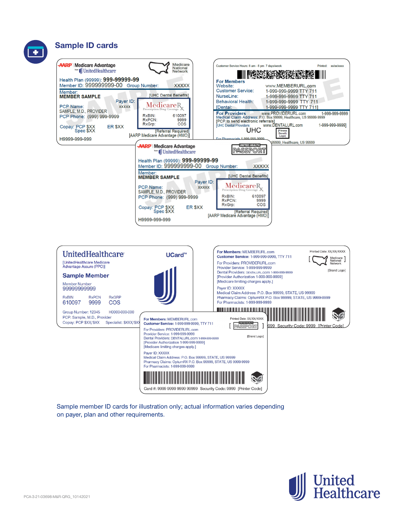# **Sample ID cards**





Sample member ID cards for illustration only; actual information varies depending on payer, plan and other requirements.